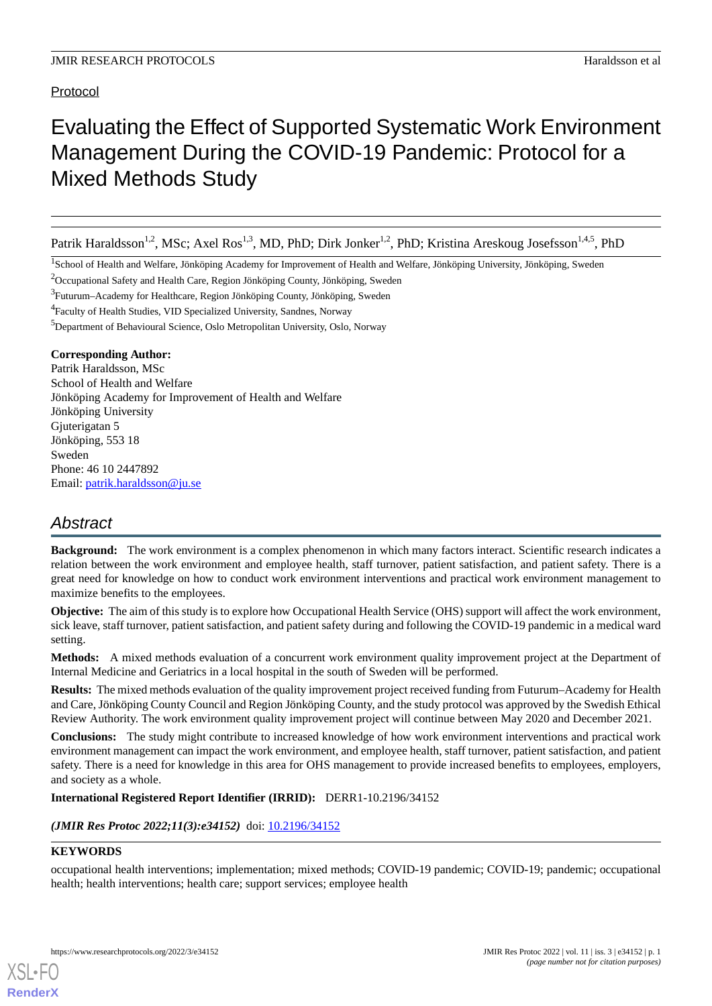## Protocol

# Evaluating the Effect of Supported Systematic Work Environment Management During the COVID-19 Pandemic: Protocol for a Mixed Methods Study

Patrik Haraldsson<sup>1,2</sup>, MSc; Axel Ros<sup>1,3</sup>, MD, PhD; Dirk Jonker<sup>1,2</sup>, PhD; Kristina Areskoug Josefsson<sup>1,4,5</sup>, PhD

<sup>1</sup>School of Health and Welfare, Jönköping Academy for Improvement of Health and Welfare, Jönköping University, Jönköping, Sweden

<sup>2</sup>Occupational Safety and Health Care, Region Jönköping County, Jönköping, Sweden

<sup>3</sup>Futurum–Academy for Healthcare, Region Jönköping County, Jönköping, Sweden

<sup>4</sup> Faculty of Health Studies, VID Specialized University, Sandnes, Norway

<sup>5</sup>Department of Behavioural Science, Oslo Metropolitan University, Oslo, Norway

### **Corresponding Author:**

Patrik Haraldsson, MSc School of Health and Welfare Jönköping Academy for Improvement of Health and Welfare Jönköping University Gjuterigatan 5 Jönköping, 553 18 Sweden Phone: 46 10 2447892 Email: [patrik.haraldsson@ju.se](mailto:patrik.haraldsson@ju.se)

# *Abstract*

**Background:** The work environment is a complex phenomenon in which many factors interact. Scientific research indicates a relation between the work environment and employee health, staff turnover, patient satisfaction, and patient safety. There is a great need for knowledge on how to conduct work environment interventions and practical work environment management to maximize benefits to the employees.

**Objective:** The aim of this study is to explore how Occupational Health Service (OHS) support will affect the work environment, sick leave, staff turnover, patient satisfaction, and patient safety during and following the COVID-19 pandemic in a medical ward setting.

**Methods:** A mixed methods evaluation of a concurrent work environment quality improvement project at the Department of Internal Medicine and Geriatrics in a local hospital in the south of Sweden will be performed.

**Results:** The mixed methods evaluation of the quality improvement project received funding from Futurum–Academy for Health and Care, Jönköping County Council and Region Jönköping County, and the study protocol was approved by the Swedish Ethical Review Authority. The work environment quality improvement project will continue between May 2020 and December 2021.

**Conclusions:** The study might contribute to increased knowledge of how work environment interventions and practical work environment management can impact the work environment, and employee health, staff turnover, patient satisfaction, and patient safety. There is a need for knowledge in this area for OHS management to provide increased benefits to employees, employers, and society as a whole.

**International Registered Report Identifier (IRRID):** DERR1-10.2196/34152

*(JMIR Res Protoc 2022;11(3):e34152)* doi:  $10.2196/34152$ 

#### **KEYWORDS**

[XSL](http://www.w3.org/Style/XSL)•FO **[RenderX](http://www.renderx.com/)**

occupational health interventions; implementation; mixed methods; COVID-19 pandemic; COVID-19; pandemic; occupational health; health interventions; health care; support services; employee health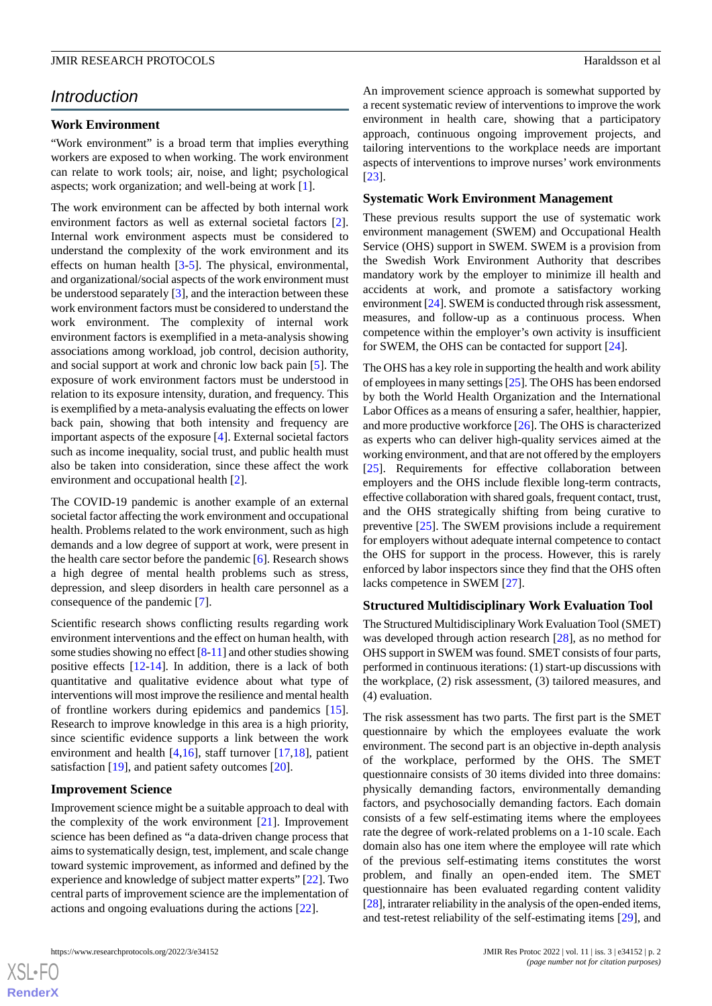## *Introduction*

#### **Work Environment**

"Work environment" is a broad term that implies everything workers are exposed to when working. The work environment can relate to work tools; air, noise, and light; psychological aspects; work organization; and well-being at work [[1\]](#page-4-0).

The work environment can be affected by both internal work environment factors as well as external societal factors [[2\]](#page-4-1). Internal work environment aspects must be considered to understand the complexity of the work environment and its effects on human health [[3](#page-4-2)-[5\]](#page-4-3). The physical, environmental, and organizational/social aspects of the work environment must be understood separately [[3\]](#page-4-2), and the interaction between these work environment factors must be considered to understand the work environment. The complexity of internal work environment factors is exemplified in a meta-analysis showing associations among workload, job control, decision authority, and social support at work and chronic low back pain [[5\]](#page-4-3). The exposure of work environment factors must be understood in relation to its exposure intensity, duration, and frequency. This is exemplified by a meta-analysis evaluating the effects on lower back pain, showing that both intensity and frequency are important aspects of the exposure [\[4](#page-4-4)]. External societal factors such as income inequality, social trust, and public health must also be taken into consideration, since these affect the work environment and occupational health [[2\]](#page-4-1).

The COVID-19 pandemic is another example of an external societal factor affecting the work environment and occupational health. Problems related to the work environment, such as high demands and a low degree of support at work, were present in the health care sector before the pandemic [\[6](#page-4-5)]. Research shows a high degree of mental health problems such as stress, depression, and sleep disorders in health care personnel as a consequence of the pandemic [\[7](#page-4-6)].

Scientific research shows conflicting results regarding work environment interventions and the effect on human health, with some studies showing no effect [\[8](#page-4-7)[-11](#page-4-8)] and other studies showing positive effects [[12-](#page-4-9)[14](#page-5-0)]. In addition, there is a lack of both quantitative and qualitative evidence about what type of interventions will most improve the resilience and mental health of frontline workers during epidemics and pandemics [[15\]](#page-5-1). Research to improve knowledge in this area is a high priority, since scientific evidence supports a link between the work environment and health [[4](#page-4-4)[,16](#page-5-2)], staff turnover [[17,](#page-5-3)[18](#page-5-4)], patient satisfaction [[19\]](#page-5-5), and patient safety outcomes [\[20](#page-5-6)].

#### **Improvement Science**

Improvement science might be a suitable approach to deal with the complexity of the work environment [\[21](#page-5-7)]. Improvement science has been defined as "a data-driven change process that aims to systematically design, test, implement, and scale change toward systemic improvement, as informed and defined by the experience and knowledge of subject matter experts" [\[22](#page-5-8)]. Two central parts of improvement science are the implementation of actions and ongoing evaluations during the actions [[22\]](#page-5-8).

An improvement science approach is somewhat supported by a recent systematic review of interventions to improve the work environment in health care, showing that a participatory approach, continuous ongoing improvement projects, and tailoring interventions to the workplace needs are important aspects of interventions to improve nurses' work environments [[23\]](#page-5-9).

#### **Systematic Work Environment Management**

These previous results support the use of systematic work environment management (SWEM) and Occupational Health Service (OHS) support in SWEM. SWEM is a provision from the Swedish Work Environment Authority that describes mandatory work by the employer to minimize ill health and accidents at work, and promote a satisfactory working environment [\[24\]](#page-5-10). SWEM is conducted through risk assessment, measures, and follow-up as a continuous process. When competence within the employer's own activity is insufficient for SWEM, the OHS can be contacted for support [\[24](#page-5-10)].

The OHS has a key role in supporting the health and work ability of employees in many settings [[25\]](#page-5-11). The OHS has been endorsed by both the World Health Organization and the International Labor Offices as a means of ensuring a safer, healthier, happier, and more productive workforce [\[26](#page-5-12)]. The OHS is characterized as experts who can deliver high-quality services aimed at the working environment, and that are not offered by the employers [[25\]](#page-5-11). Requirements for effective collaboration between employers and the OHS include flexible long-term contracts, effective collaboration with shared goals, frequent contact, trust, and the OHS strategically shifting from being curative to preventive [\[25](#page-5-11)]. The SWEM provisions include a requirement for employers without adequate internal competence to contact the OHS for support in the process. However, this is rarely enforced by labor inspectors since they find that the OHS often lacks competence in SWEM [\[27](#page-5-13)].

#### **Structured Multidisciplinary Work Evaluation Tool**

The Structured Multidisciplinary Work Evaluation Tool (SMET) was developed through action research [[28\]](#page-5-14), as no method for OHS support in SWEM was found. SMET consists of four parts, performed in continuous iterations: (1) start-up discussions with the workplace, (2) risk assessment, (3) tailored measures, and (4) evaluation.

The risk assessment has two parts. The first part is the SMET questionnaire by which the employees evaluate the work environment. The second part is an objective in-depth analysis of the workplace, performed by the OHS. The SMET questionnaire consists of 30 items divided into three domains: physically demanding factors, environmentally demanding factors, and psychosocially demanding factors. Each domain consists of a few self-estimating items where the employees rate the degree of work-related problems on a 1-10 scale. Each domain also has one item where the employee will rate which of the previous self-estimating items constitutes the worst problem, and finally an open-ended item. The SMET questionnaire has been evaluated regarding content validity [[28\]](#page-5-14), intrarater reliability in the analysis of the open-ended items, and test-retest reliability of the self-estimating items [[29\]](#page-5-15), and

 $XS$ -FO **[RenderX](http://www.renderx.com/)**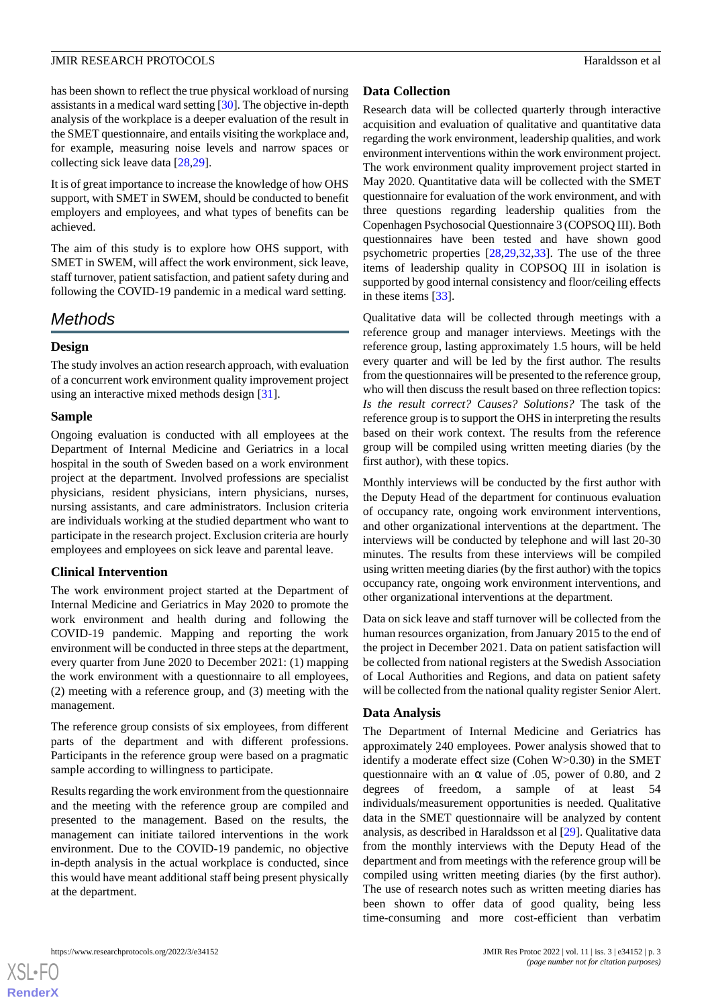has been shown to reflect the true physical workload of nursing assistants in a medical ward setting [\[30](#page-5-16)]. The objective in-depth analysis of the workplace is a deeper evaluation of the result in the SMET questionnaire, and entails visiting the workplace and, for example, measuring noise levels and narrow spaces or collecting sick leave data [[28](#page-5-14)[,29](#page-5-15)].

It is of great importance to increase the knowledge of how OHS support, with SMET in SWEM, should be conducted to benefit employers and employees, and what types of benefits can be achieved.

The aim of this study is to explore how OHS support, with SMET in SWEM, will affect the work environment, sick leave, staff turnover, patient satisfaction, and patient safety during and following the COVID-19 pandemic in a medical ward setting.

## *Methods*

### **Design**

The study involves an action research approach, with evaluation of a concurrent work environment quality improvement project using an interactive mixed methods design [[31\]](#page-5-17).

#### **Sample**

Ongoing evaluation is conducted with all employees at the Department of Internal Medicine and Geriatrics in a local hospital in the south of Sweden based on a work environment project at the department. Involved professions are specialist physicians, resident physicians, intern physicians, nurses, nursing assistants, and care administrators. Inclusion criteria are individuals working at the studied department who want to participate in the research project. Exclusion criteria are hourly employees and employees on sick leave and parental leave.

#### **Clinical Intervention**

The work environment project started at the Department of Internal Medicine and Geriatrics in May 2020 to promote the work environment and health during and following the COVID-19 pandemic. Mapping and reporting the work environment will be conducted in three steps at the department, every quarter from June 2020 to December 2021: (1) mapping the work environment with a questionnaire to all employees, (2) meeting with a reference group, and (3) meeting with the management.

The reference group consists of six employees, from different parts of the department and with different professions. Participants in the reference group were based on a pragmatic sample according to willingness to participate.

Results regarding the work environment from the questionnaire and the meeting with the reference group are compiled and presented to the management. Based on the results, the management can initiate tailored interventions in the work environment. Due to the COVID-19 pandemic, no objective in-depth analysis in the actual workplace is conducted, since this would have meant additional staff being present physically at the department.

#### **Data Collection**

Research data will be collected quarterly through interactive acquisition and evaluation of qualitative and quantitative data regarding the work environment, leadership qualities, and work environment interventions within the work environment project. The work environment quality improvement project started in May 2020. Quantitative data will be collected with the SMET questionnaire for evaluation of the work environment, and with three questions regarding leadership qualities from the Copenhagen Psychosocial Questionnaire 3 (COPSOQ III). Both questionnaires have been tested and have shown good psychometric properties [\[28](#page-5-14),[29,](#page-5-15)[32](#page-5-18),[33\]](#page-5-19). The use of the three items of leadership quality in COPSOQ III in isolation is supported by good internal consistency and floor/ceiling effects in these items [\[33](#page-5-19)].

Qualitative data will be collected through meetings with a reference group and manager interviews. Meetings with the reference group, lasting approximately 1.5 hours, will be held every quarter and will be led by the first author. The results from the questionnaires will be presented to the reference group, who will then discuss the result based on three reflection topics: *Is the result correct? Causes? Solutions?* The task of the reference group is to support the OHS in interpreting the results based on their work context. The results from the reference group will be compiled using written meeting diaries (by the first author), with these topics.

Monthly interviews will be conducted by the first author with the Deputy Head of the department for continuous evaluation of occupancy rate, ongoing work environment interventions, and other organizational interventions at the department. The interviews will be conducted by telephone and will last 20-30 minutes. The results from these interviews will be compiled using written meeting diaries (by the first author) with the topics occupancy rate, ongoing work environment interventions, and other organizational interventions at the department.

Data on sick leave and staff turnover will be collected from the human resources organization, from January 2015 to the end of the project in December 2021. Data on patient satisfaction will be collected from national registers at the Swedish Association of Local Authorities and Regions, and data on patient safety will be collected from the national quality register Senior Alert.

#### **Data Analysis**

The Department of Internal Medicine and Geriatrics has approximately 240 employees. Power analysis showed that to identify a moderate effect size (Cohen W>0.30) in the SMET questionnaire with an  $\alpha$  value of .05, power of 0.80, and 2 degrees of freedom, a sample of at least 54 individuals/measurement opportunities is needed. Qualitative data in the SMET questionnaire will be analyzed by content analysis, as described in Haraldsson et al [[29\]](#page-5-15). Qualitative data from the monthly interviews with the Deputy Head of the department and from meetings with the reference group will be compiled using written meeting diaries (by the first author). The use of research notes such as written meeting diaries has been shown to offer data of good quality, being less time-consuming and more cost-efficient than verbatim

 $XS$ -FO **[RenderX](http://www.renderx.com/)**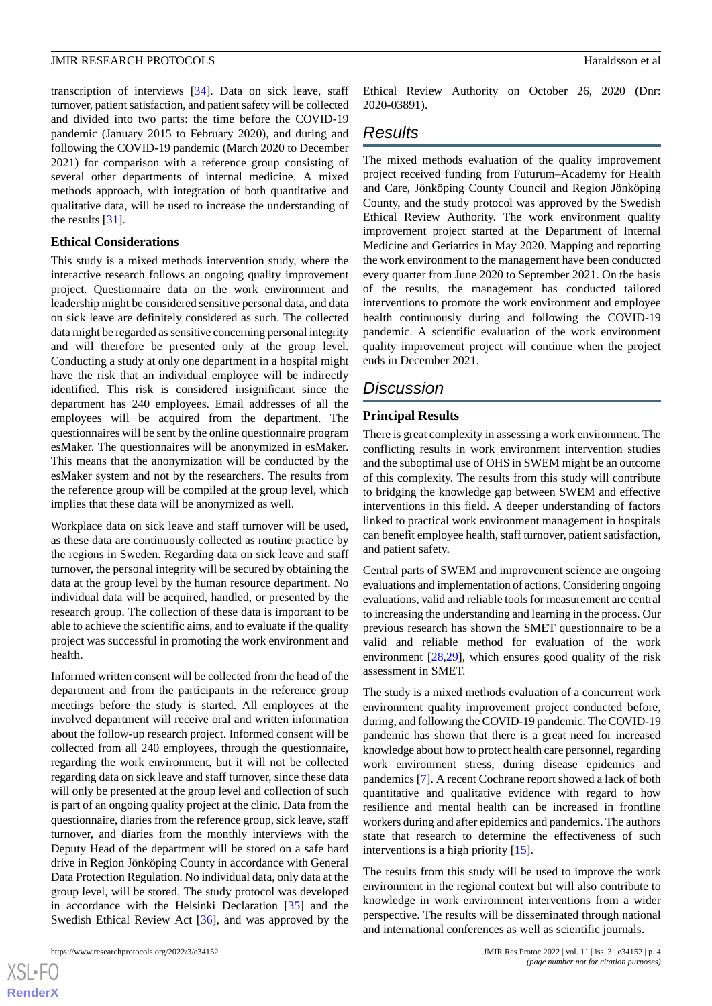transcription of interviews [[34\]](#page-5-20). Data on sick leave, staff turnover, patient satisfaction, and patient safety will be collected and divided into two parts: the time before the COVID-19 pandemic (January 2015 to February 2020), and during and following the COVID-19 pandemic (March 2020 to December 2021) for comparison with a reference group consisting of several other departments of internal medicine. A mixed methods approach, with integration of both quantitative and qualitative data, will be used to increase the understanding of the results [\[31](#page-5-17)].

#### **Ethical Considerations**

This study is a mixed methods intervention study, where the interactive research follows an ongoing quality improvement project. Questionnaire data on the work environment and leadership might be considered sensitive personal data, and data on sick leave are definitely considered as such. The collected data might be regarded as sensitive concerning personal integrity and will therefore be presented only at the group level. Conducting a study at only one department in a hospital might have the risk that an individual employee will be indirectly identified. This risk is considered insignificant since the department has 240 employees. Email addresses of all the employees will be acquired from the department. The questionnaires will be sent by the online questionnaire program esMaker. The questionnaires will be anonymized in esMaker. This means that the anonymization will be conducted by the esMaker system and not by the researchers. The results from the reference group will be compiled at the group level, which implies that these data will be anonymized as well.

Workplace data on sick leave and staff turnover will be used, as these data are continuously collected as routine practice by the regions in Sweden. Regarding data on sick leave and staff turnover, the personal integrity will be secured by obtaining the data at the group level by the human resource department. No individual data will be acquired, handled, or presented by the research group. The collection of these data is important to be able to achieve the scientific aims, and to evaluate if the quality project was successful in promoting the work environment and health.

Informed written consent will be collected from the head of the department and from the participants in the reference group meetings before the study is started. All employees at the involved department will receive oral and written information about the follow-up research project. Informed consent will be collected from all 240 employees, through the questionnaire, regarding the work environment, but it will not be collected regarding data on sick leave and staff turnover, since these data will only be presented at the group level and collection of such is part of an ongoing quality project at the clinic. Data from the questionnaire, diaries from the reference group, sick leave, staff turnover, and diaries from the monthly interviews with the Deputy Head of the department will be stored on a safe hard drive in Region Jönköping County in accordance with General Data Protection Regulation. No individual data, only data at the group level, will be stored. The study protocol was developed in accordance with the Helsinki Declaration [\[35](#page-6-0)] and the Swedish Ethical Review Act [[36\]](#page-6-1), and was approved by the

 $XS$ -FO **[RenderX](http://www.renderx.com/)**

Ethical Review Authority on October 26, 2020 (Dnr: 2020-03891).

## *Results*

The mixed methods evaluation of the quality improvement project received funding from Futurum–Academy for Health and Care, Jönköping County Council and Region Jönköping County, and the study protocol was approved by the Swedish Ethical Review Authority. The work environment quality improvement project started at the Department of Internal Medicine and Geriatrics in May 2020. Mapping and reporting the work environment to the management have been conducted every quarter from June 2020 to September 2021. On the basis of the results, the management has conducted tailored interventions to promote the work environment and employee health continuously during and following the COVID-19 pandemic. A scientific evaluation of the work environment quality improvement project will continue when the project ends in December 2021.

## *Discussion*

### **Principal Results**

There is great complexity in assessing a work environment. The conflicting results in work environment intervention studies and the suboptimal use of OHS in SWEM might be an outcome of this complexity. The results from this study will contribute to bridging the knowledge gap between SWEM and effective interventions in this field. A deeper understanding of factors linked to practical work environment management in hospitals can benefit employee health, staff turnover, patient satisfaction, and patient safety.

Central parts of SWEM and improvement science are ongoing evaluations and implementation of actions. Considering ongoing evaluations, valid and reliable tools for measurement are central to increasing the understanding and learning in the process. Our previous research has shown the SMET questionnaire to be a valid and reliable method for evaluation of the work environment [[28](#page-5-14)[,29](#page-5-15)], which ensures good quality of the risk assessment in SMET.

The study is a mixed methods evaluation of a concurrent work environment quality improvement project conducted before, during, and following the COVID-19 pandemic. The COVID-19 pandemic has shown that there is a great need for increased knowledge about how to protect health care personnel, regarding work environment stress, during disease epidemics and pandemics [[7\]](#page-4-6). A recent Cochrane report showed a lack of both quantitative and qualitative evidence with regard to how resilience and mental health can be increased in frontline workers during and after epidemics and pandemics. The authors state that research to determine the effectiveness of such interventions is a high priority [\[15](#page-5-1)].

The results from this study will be used to improve the work environment in the regional context but will also contribute to knowledge in work environment interventions from a wider perspective. The results will be disseminated through national and international conferences as well as scientific journals.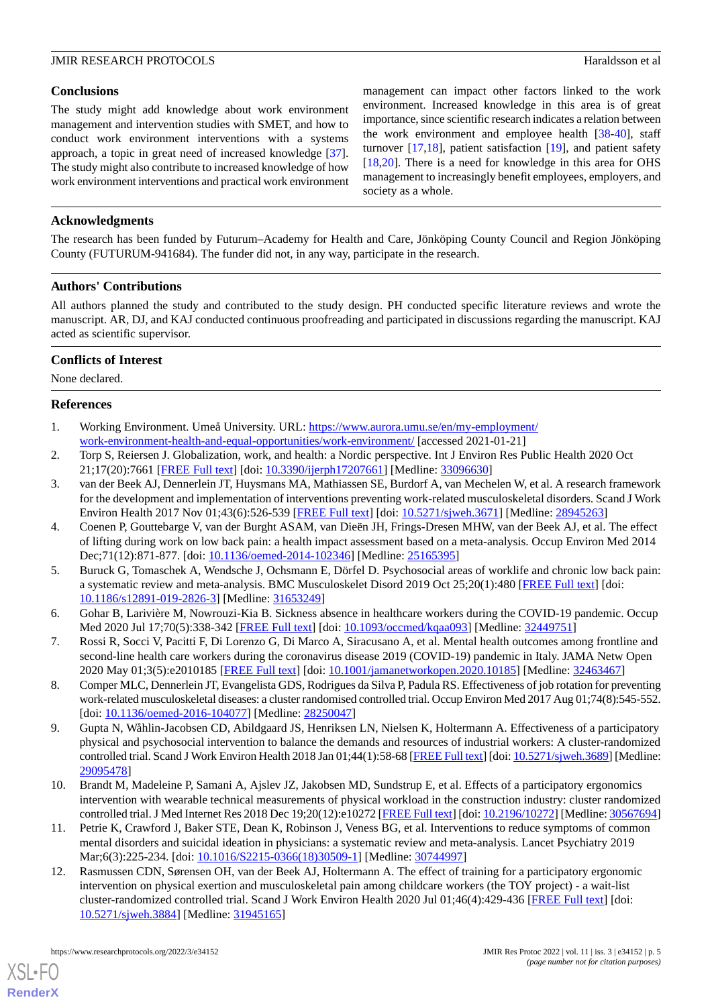#### **JMIR RESEARCH PROTOCOLS Haraldsson et al. Haraldsson et al. Haraldsson et al. Haraldsson et al. Haraldsson et al. Haraldsson et al. Haraldsson et al. Haraldsson et al. Haraldsson et al. Haraldsson et a**

#### **Conclusions**

The study might add knowledge about work environment management and intervention studies with SMET, and how to conduct work environment interventions with a systems approach, a topic in great need of increased knowledge [[37\]](#page-6-2). The study might also contribute to increased knowledge of how work environment interventions and practical work environment management can impact other factors linked to the work environment. Increased knowledge in this area is of great importance, since scientific research indicates a relation between the work environment and employee health [[38-](#page-6-3)[40\]](#page-6-4), staff turnover [\[17](#page-5-3),[18\]](#page-5-4), patient satisfaction [\[19](#page-5-5)], and patient safety [[18,](#page-5-4)[20\]](#page-5-6). There is a need for knowledge in this area for OHS management to increasingly benefit employees, employers, and society as a whole.

### **Acknowledgments**

The research has been funded by Futurum–Academy for Health and Care, Jönköping County Council and Region Jönköping County (FUTURUM-941684). The funder did not, in any way, participate in the research.

#### **Authors' Contributions**

All authors planned the study and contributed to the study design. PH conducted specific literature reviews and wrote the manuscript. AR, DJ, and KAJ conducted continuous proofreading and participated in discussions regarding the manuscript. KAJ acted as scientific supervisor.

### **Conflicts of Interest**

<span id="page-4-0"></span>None declared.

#### <span id="page-4-1"></span>**References**

- <span id="page-4-2"></span>1. Working Environment. Umeå University. URL: [https://www.aurora.umu.se/en/my-employment/](https://www.aurora.umu.se/en/my-employment/work-environment-health-and-equal-opportunities/work-environment/) [work-environment-health-and-equal-opportunities/work-environment/](https://www.aurora.umu.se/en/my-employment/work-environment-health-and-equal-opportunities/work-environment/) [accessed 2021-01-21]
- 2. Torp S, Reiersen J. Globalization, work, and health: a Nordic perspective. Int J Environ Res Public Health 2020 Oct 21;17(20):7661 [[FREE Full text\]](https://www.mdpi.com/resolver?pii=ijerph17207661) [doi: [10.3390/ijerph17207661\]](http://dx.doi.org/10.3390/ijerph17207661) [Medline: [33096630\]](http://www.ncbi.nlm.nih.gov/entrez/query.fcgi?cmd=Retrieve&db=PubMed&list_uids=33096630&dopt=Abstract)
- <span id="page-4-4"></span>3. van der Beek AJ, Dennerlein JT, Huysmans MA, Mathiassen SE, Burdorf A, van Mechelen W, et al. A research framework for the development and implementation of interventions preventing work-related musculoskeletal disorders. Scand J Work Environ Health 2017 Nov 01;43(6):526-539 [\[FREE Full text\]](https://www.sjweh.fi/article/3671) [doi: [10.5271/sjweh.3671](http://dx.doi.org/10.5271/sjweh.3671)] [Medline: [28945263\]](http://www.ncbi.nlm.nih.gov/entrez/query.fcgi?cmd=Retrieve&db=PubMed&list_uids=28945263&dopt=Abstract)
- <span id="page-4-3"></span>4. Coenen P, Gouttebarge V, van der Burght ASAM, van Dieën JH, Frings-Dresen MHW, van der Beek AJ, et al. The effect of lifting during work on low back pain: a health impact assessment based on a meta-analysis. Occup Environ Med 2014 Dec;71(12):871-877. [doi: [10.1136/oemed-2014-102346](http://dx.doi.org/10.1136/oemed-2014-102346)] [Medline: [25165395\]](http://www.ncbi.nlm.nih.gov/entrez/query.fcgi?cmd=Retrieve&db=PubMed&list_uids=25165395&dopt=Abstract)
- <span id="page-4-6"></span><span id="page-4-5"></span>5. Buruck G, Tomaschek A, Wendsche J, Ochsmann E, Dörfel D. Psychosocial areas of worklife and chronic low back pain: a systematic review and meta-analysis. BMC Musculoskelet Disord 2019 Oct 25;20(1):480 [[FREE Full text](https://bmcmusculoskeletdisord.biomedcentral.com/articles/10.1186/s12891-019-2826-3)] [doi: [10.1186/s12891-019-2826-3\]](http://dx.doi.org/10.1186/s12891-019-2826-3) [Medline: [31653249](http://www.ncbi.nlm.nih.gov/entrez/query.fcgi?cmd=Retrieve&db=PubMed&list_uids=31653249&dopt=Abstract)]
- <span id="page-4-7"></span>6. Gohar B, Larivière M, Nowrouzi-Kia B. Sickness absence in healthcare workers during the COVID-19 pandemic. Occup Med 2020 Jul 17;70(5):338-342 [\[FREE Full text\]](http://europepmc.org/abstract/MED/32449751) [doi: [10.1093/occmed/kqaa093](http://dx.doi.org/10.1093/occmed/kqaa093)] [Medline: [32449751\]](http://www.ncbi.nlm.nih.gov/entrez/query.fcgi?cmd=Retrieve&db=PubMed&list_uids=32449751&dopt=Abstract)
- 7. Rossi R, Socci V, Pacitti F, Di Lorenzo G, Di Marco A, Siracusano A, et al. Mental health outcomes among frontline and second-line health care workers during the coronavirus disease 2019 (COVID-19) pandemic in Italy. JAMA Netw Open 2020 May 01;3(5):e2010185 [\[FREE Full text\]](https://jamanetwork.com/journals/jamanetworkopen/fullarticle/10.1001/jamanetworkopen.2020.10185) [doi: [10.1001/jamanetworkopen.2020.10185\]](http://dx.doi.org/10.1001/jamanetworkopen.2020.10185) [Medline: [32463467\]](http://www.ncbi.nlm.nih.gov/entrez/query.fcgi?cmd=Retrieve&db=PubMed&list_uids=32463467&dopt=Abstract)
- 8. Comper MLC, Dennerlein JT, Evangelista GDS, Rodrigues da Silva P, Padula RS. Effectiveness of job rotation for preventing work-related musculoskeletal diseases: a cluster randomised controlled trial. Occup Environ Med 2017 Aug 01;74(8):545-552. [doi: [10.1136/oemed-2016-104077](http://dx.doi.org/10.1136/oemed-2016-104077)] [Medline: [28250047](http://www.ncbi.nlm.nih.gov/entrez/query.fcgi?cmd=Retrieve&db=PubMed&list_uids=28250047&dopt=Abstract)]
- <span id="page-4-8"></span>9. Gupta N, Wåhlin-Jacobsen CD, Abildgaard JS, Henriksen LN, Nielsen K, Holtermann A. Effectiveness of a participatory physical and psychosocial intervention to balance the demands and resources of industrial workers: A cluster-randomized controlled trial. Scand J Work Environ Health 2018 Jan 01;44(1):58-68 [[FREE Full text\]](https://www.sjweh.fi/article/3689) [doi: [10.5271/sjweh.3689\]](http://dx.doi.org/10.5271/sjweh.3689) [Medline: [29095478](http://www.ncbi.nlm.nih.gov/entrez/query.fcgi?cmd=Retrieve&db=PubMed&list_uids=29095478&dopt=Abstract)]
- <span id="page-4-9"></span>10. Brandt M, Madeleine P, Samani A, Ajslev JZ, Jakobsen MD, Sundstrup E, et al. Effects of a participatory ergonomics intervention with wearable technical measurements of physical workload in the construction industry: cluster randomized controlled trial. J Med Internet Res 2018 Dec 19;20(12):e10272 [[FREE Full text](https://www.jmir.org/2018/12/e10272/)] [doi: [10.2196/10272\]](http://dx.doi.org/10.2196/10272) [Medline: [30567694](http://www.ncbi.nlm.nih.gov/entrez/query.fcgi?cmd=Retrieve&db=PubMed&list_uids=30567694&dopt=Abstract)]
- 11. Petrie K, Crawford J, Baker STE, Dean K, Robinson J, Veness BG, et al. Interventions to reduce symptoms of common mental disorders and suicidal ideation in physicians: a systematic review and meta-analysis. Lancet Psychiatry 2019 Mar;6(3):225-234. [doi: [10.1016/S2215-0366\(18\)30509-1](http://dx.doi.org/10.1016/S2215-0366(18)30509-1)] [Medline: [30744997](http://www.ncbi.nlm.nih.gov/entrez/query.fcgi?cmd=Retrieve&db=PubMed&list_uids=30744997&dopt=Abstract)]
- 12. Rasmussen CDN, Sørensen OH, van der Beek AJ, Holtermann A. The effect of training for a participatory ergonomic intervention on physical exertion and musculoskeletal pain among childcare workers (the TOY project) - a wait-list cluster-randomized controlled trial. Scand J Work Environ Health 2020 Jul 01;46(4):429-436 [\[FREE Full text\]](https://www.sjweh.fi/article/3884) [doi: [10.5271/sjweh.3884\]](http://dx.doi.org/10.5271/sjweh.3884) [Medline: [31945165](http://www.ncbi.nlm.nih.gov/entrez/query.fcgi?cmd=Retrieve&db=PubMed&list_uids=31945165&dopt=Abstract)]

[XSL](http://www.w3.org/Style/XSL)•FO **[RenderX](http://www.renderx.com/)**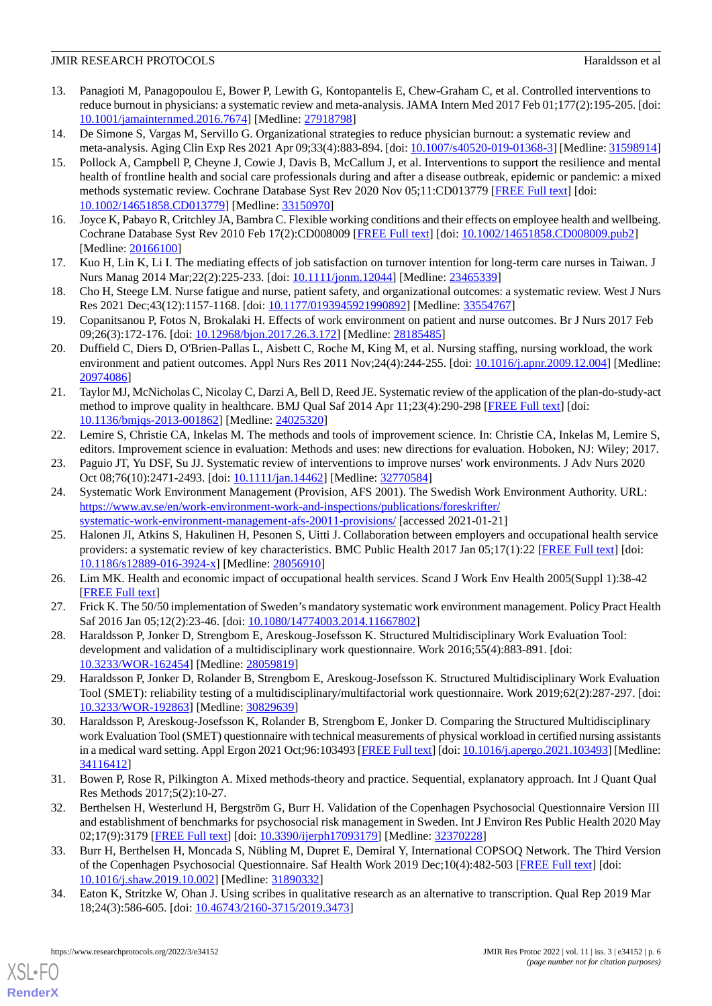### **JMIR RESEARCH PROTOCOLS Haraldsson et al. Haraldsson et al. Haraldsson et al. Haraldsson et al. Haraldsson et al. Haraldsson et al. Haraldsson et al. Haraldsson et al. Haraldsson et al. Haraldsson et a**

- 13. Panagioti M, Panagopoulou E, Bower P, Lewith G, Kontopantelis E, Chew-Graham C, et al. Controlled interventions to reduce burnout in physicians: a systematic review and meta-analysis. JAMA Intern Med 2017 Feb 01;177(2):195-205. [doi: [10.1001/jamainternmed.2016.7674\]](http://dx.doi.org/10.1001/jamainternmed.2016.7674) [Medline: [27918798\]](http://www.ncbi.nlm.nih.gov/entrez/query.fcgi?cmd=Retrieve&db=PubMed&list_uids=27918798&dopt=Abstract)
- <span id="page-5-1"></span><span id="page-5-0"></span>14. De Simone S, Vargas M, Servillo G. Organizational strategies to reduce physician burnout: a systematic review and meta-analysis. Aging Clin Exp Res 2021 Apr 09;33(4):883-894. [doi: [10.1007/s40520-019-01368-3](http://dx.doi.org/10.1007/s40520-019-01368-3)] [Medline: [31598914](http://www.ncbi.nlm.nih.gov/entrez/query.fcgi?cmd=Retrieve&db=PubMed&list_uids=31598914&dopt=Abstract)]
- 15. Pollock A, Campbell P, Cheyne J, Cowie J, Davis B, McCallum J, et al. Interventions to support the resilience and mental health of frontline health and social care professionals during and after a disease outbreak, epidemic or pandemic: a mixed methods systematic review. Cochrane Database Syst Rev 2020 Nov 05;11:CD013779 [\[FREE Full text](http://europepmc.org/abstract/MED/33150970)] [doi: [10.1002/14651858.CD013779](http://dx.doi.org/10.1002/14651858.CD013779)] [Medline: [33150970\]](http://www.ncbi.nlm.nih.gov/entrez/query.fcgi?cmd=Retrieve&db=PubMed&list_uids=33150970&dopt=Abstract)
- <span id="page-5-3"></span><span id="page-5-2"></span>16. Joyce K, Pabayo R, Critchley JA, Bambra C. Flexible working conditions and their effects on employee health and wellbeing. Cochrane Database Syst Rev 2010 Feb 17(2):CD008009 [[FREE Full text](http://europepmc.org/abstract/MED/20166100)] [doi: [10.1002/14651858.CD008009.pub2](http://dx.doi.org/10.1002/14651858.CD008009.pub2)] [Medline: [20166100](http://www.ncbi.nlm.nih.gov/entrez/query.fcgi?cmd=Retrieve&db=PubMed&list_uids=20166100&dopt=Abstract)]
- <span id="page-5-4"></span>17. Kuo H, Lin K, Li I. The mediating effects of job satisfaction on turnover intention for long-term care nurses in Taiwan. J Nurs Manag 2014 Mar;22(2):225-233. [doi: [10.1111/jonm.12044](http://dx.doi.org/10.1111/jonm.12044)] [Medline: [23465339\]](http://www.ncbi.nlm.nih.gov/entrez/query.fcgi?cmd=Retrieve&db=PubMed&list_uids=23465339&dopt=Abstract)
- <span id="page-5-5"></span>18. Cho H, Steege LM. Nurse fatigue and nurse, patient safety, and organizational outcomes: a systematic review. West J Nurs Res 2021 Dec;43(12):1157-1168. [doi: [10.1177/0193945921990892\]](http://dx.doi.org/10.1177/0193945921990892) [Medline: [33554767\]](http://www.ncbi.nlm.nih.gov/entrez/query.fcgi?cmd=Retrieve&db=PubMed&list_uids=33554767&dopt=Abstract)
- <span id="page-5-6"></span>19. Copanitsanou P, Fotos N, Brokalaki H. Effects of work environment on patient and nurse outcomes. Br J Nurs 2017 Feb 09;26(3):172-176. [doi: [10.12968/bjon.2017.26.3.172\]](http://dx.doi.org/10.12968/bjon.2017.26.3.172) [Medline: [28185485](http://www.ncbi.nlm.nih.gov/entrez/query.fcgi?cmd=Retrieve&db=PubMed&list_uids=28185485&dopt=Abstract)]
- <span id="page-5-7"></span>20. Duffield C, Diers D, O'Brien-Pallas L, Aisbett C, Roche M, King M, et al. Nursing staffing, nursing workload, the work environment and patient outcomes. Appl Nurs Res 2011 Nov; 24(4): 244-255. [doi: 10.1016/j.apnr. 2009.12.004] [Medline: [20974086](http://www.ncbi.nlm.nih.gov/entrez/query.fcgi?cmd=Retrieve&db=PubMed&list_uids=20974086&dopt=Abstract)]
- <span id="page-5-8"></span>21. Taylor MJ, McNicholas C, Nicolay C, Darzi A, Bell D, Reed JE. Systematic review of the application of the plan-do-study-act method to improve quality in healthcare. BMJ Qual Saf 2014 Apr 11;23(4):290-298 [\[FREE Full text](http://qualitysafety.bmj.com/lookup/pmidlookup?view=long&pmid=24025320)] [doi: [10.1136/bmjqs-2013-001862\]](http://dx.doi.org/10.1136/bmjqs-2013-001862) [Medline: [24025320\]](http://www.ncbi.nlm.nih.gov/entrez/query.fcgi?cmd=Retrieve&db=PubMed&list_uids=24025320&dopt=Abstract)
- <span id="page-5-10"></span><span id="page-5-9"></span>22. Lemire S, Christie CA, Inkelas M. The methods and tools of improvement science. In: Christie CA, Inkelas M, Lemire S, editors. Improvement science in evaluation: Methods and uses: new directions for evaluation. Hoboken, NJ: Wiley; 2017.
- 23. Paguio JT, Yu DSF, Su JJ. Systematic review of interventions to improve nurses' work environments. J Adv Nurs 2020 Oct 08;76(10):2471-2493. [doi: [10.1111/jan.14462](http://dx.doi.org/10.1111/jan.14462)] [Medline: [32770584](http://www.ncbi.nlm.nih.gov/entrez/query.fcgi?cmd=Retrieve&db=PubMed&list_uids=32770584&dopt=Abstract)]
- <span id="page-5-11"></span>24. Systematic Work Environment Management (Provision, AFS 2001). The Swedish Work Environment Authority. URL: [https://www.av.se/en/work-environment-work-and-inspections/publications/foreskrifter/](https://www.av.se/en/work-environment-work-and-inspections/publications/foreskrifter/systematic-work-environment-management-afs-20011-provisions/) [systematic-work-environment-management-afs-20011-provisions/](https://www.av.se/en/work-environment-work-and-inspections/publications/foreskrifter/systematic-work-environment-management-afs-20011-provisions/) [accessed 2021-01-21]
- <span id="page-5-13"></span><span id="page-5-12"></span>25. Halonen JI, Atkins S, Hakulinen H, Pesonen S, Uitti J. Collaboration between employers and occupational health service providers: a systematic review of key characteristics. BMC Public Health 2017 Jan 05;17(1):22 [\[FREE Full text\]](https://bmcpublichealth.biomedcentral.com/articles/10.1186/s12889-016-3924-x) [doi: [10.1186/s12889-016-3924-x\]](http://dx.doi.org/10.1186/s12889-016-3924-x) [Medline: [28056910](http://www.ncbi.nlm.nih.gov/entrez/query.fcgi?cmd=Retrieve&db=PubMed&list_uids=28056910&dopt=Abstract)]
- <span id="page-5-14"></span>26. Lim MK. Health and economic impact of occupational health services. Scand J Work Env Health 2005(Suppl 1):38-42 [[FREE Full text](https://www.sjweh.fi/article/934)]
- <span id="page-5-15"></span>27. Frick K. The 50/50 implementation of Sweden's mandatory systematic work environment management. Policy Pract Health Saf 2016 Jan 05;12(2):23-46. [doi: [10.1080/14774003.2014.11667802\]](http://dx.doi.org/10.1080/14774003.2014.11667802)
- <span id="page-5-16"></span>28. Haraldsson P, Jonker D, Strengbom E, Areskoug-Josefsson K. Structured Multidisciplinary Work Evaluation Tool: development and validation of a multidisciplinary work questionnaire. Work 2016;55(4):883-891. [doi: [10.3233/WOR-162454](http://dx.doi.org/10.3233/WOR-162454)] [Medline: [28059819](http://www.ncbi.nlm.nih.gov/entrez/query.fcgi?cmd=Retrieve&db=PubMed&list_uids=28059819&dopt=Abstract)]
- 29. Haraldsson P, Jonker D, Rolander B, Strengbom E, Areskoug-Josefsson K. Structured Multidisciplinary Work Evaluation Tool (SMET): reliability testing of a multidisciplinary/multifactorial work questionnaire. Work 2019;62(2):287-297. [doi: [10.3233/WOR-192863](http://dx.doi.org/10.3233/WOR-192863)] [Medline: [30829639](http://www.ncbi.nlm.nih.gov/entrez/query.fcgi?cmd=Retrieve&db=PubMed&list_uids=30829639&dopt=Abstract)]
- <span id="page-5-18"></span><span id="page-5-17"></span>30. Haraldsson P, Areskoug-Josefsson K, Rolander B, Strengbom E, Jonker D. Comparing the Structured Multidisciplinary work Evaluation Tool (SMET) questionnaire with technical measurements of physical workload in certified nursing assistants in a medical ward setting. Appl Ergon 2021 Oct;96:103493 [\[FREE Full text](https://linkinghub.elsevier.com/retrieve/pii/S0003-6870(21)00140-X)] [doi: [10.1016/j.apergo.2021.103493](http://dx.doi.org/10.1016/j.apergo.2021.103493)] [Medline: [34116412](http://www.ncbi.nlm.nih.gov/entrez/query.fcgi?cmd=Retrieve&db=PubMed&list_uids=34116412&dopt=Abstract)]
- <span id="page-5-19"></span>31. Bowen P, Rose R, Pilkington A. Mixed methods-theory and practice. Sequential, explanatory approach. Int J Quant Qual Res Methods 2017;5(2):10-27.
- <span id="page-5-20"></span>32. Berthelsen H, Westerlund H, Bergström G, Burr H. Validation of the Copenhagen Psychosocial Questionnaire Version III and establishment of benchmarks for psychosocial risk management in Sweden. Int J Environ Res Public Health 2020 May 02;17(9):3179 [[FREE Full text\]](https://www.mdpi.com/resolver?pii=ijerph17093179) [doi: [10.3390/ijerph17093179\]](http://dx.doi.org/10.3390/ijerph17093179) [Medline: [32370228\]](http://www.ncbi.nlm.nih.gov/entrez/query.fcgi?cmd=Retrieve&db=PubMed&list_uids=32370228&dopt=Abstract)
- 33. Burr H, Berthelsen H, Moncada S, Nübling M, Dupret E, Demiral Y, International COPSOQ Network. The Third Version of the Copenhagen Psychosocial Questionnaire. Saf Health Work 2019 Dec;10(4):482-503 [[FREE Full text](https://linkinghub.elsevier.com/retrieve/pii/S2093-7911(18)30272-5)] [doi: [10.1016/j.shaw.2019.10.002](http://dx.doi.org/10.1016/j.shaw.2019.10.002)] [Medline: [31890332](http://www.ncbi.nlm.nih.gov/entrez/query.fcgi?cmd=Retrieve&db=PubMed&list_uids=31890332&dopt=Abstract)]
- 34. Eaton K, Stritzke W, Ohan J. Using scribes in qualitative research as an alternative to transcription. Qual Rep 2019 Mar 18;24(3):586-605. [doi: [10.46743/2160-3715/2019.3473](http://dx.doi.org/10.46743/2160-3715/2019.3473)]

[XSL](http://www.w3.org/Style/XSL)•FO **[RenderX](http://www.renderx.com/)**